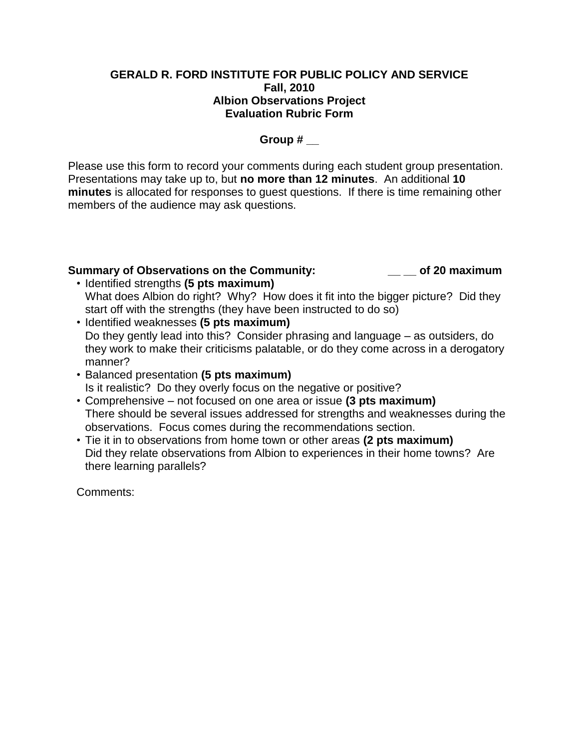## **GERALD R. FORD INSTITUTE FOR PUBLIC POLICY AND SERVICE Fall, 2010 Albion Observations Project Evaluation Rubric Form**

# **Group # \_\_**

Please use this form to record your comments during each student group presentation. Presentations may take up to, but **no more than 12 minutes**. An additional **10 minutes** is allocated for responses to guest questions. If there is time remaining other members of the audience may ask questions.

# **Summary of Observations on the Community: \_\_ \_\_ of 20 maximum**

- Identified strengths **(5 pts maximum)** What does Albion do right? Why? How does it fit into the bigger picture? Did they start off with the strengths (they have been instructed to do so)
- Identified weaknesses **(5 pts maximum)** Do they gently lead into this? Consider phrasing and language – as outsiders, do they work to make their criticisms palatable, or do they come across in a derogatory manner?
- Balanced presentation **(5 pts maximum)** Is it realistic? Do they overly focus on the negative or positive?
- Comprehensive not focused on one area or issue **(3 pts maximum)** There should be several issues addressed for strengths and weaknesses during the observations. Focus comes during the recommendations section.
- Tie it in to observations from home town or other areas **(2 pts maximum)** Did they relate observations from Albion to experiences in their home towns? Are there learning parallels?

Comments: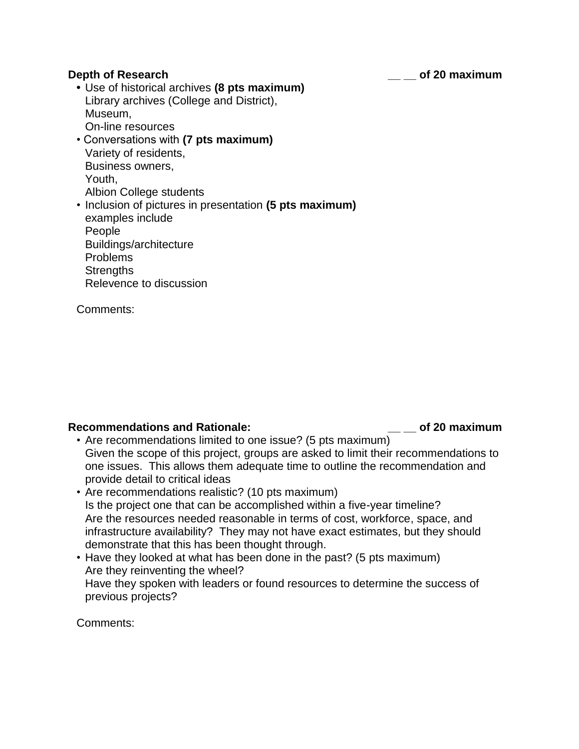#### **Depth of Research \_\_ \_\_ of 20 maximum**

**•** Use of historical archives **(8 pts maximum)** Library archives (College and District), Museum, On-line resources

- Conversations with **(7 pts maximum)** Variety of residents, Business owners, Youth, Albion College students
- Inclusion of pictures in presentation **(5 pts maximum)** examples include People Buildings/architecture Problems **Strengths** Relevence to discussion

Comments:

# **Recommendations and Rationale: \_\_ \_\_ of 20 maximum**

- Are recommendations limited to one issue? (5 pts maximum) Given the scope of this project, groups are asked to limit their recommendations to one issues. This allows them adequate time to outline the recommendation and provide detail to critical ideas
- Are recommendations realistic? (10 pts maximum) Is the project one that can be accomplished within a five-year timeline? Are the resources needed reasonable in terms of cost, workforce, space, and infrastructure availability? They may not have exact estimates, but they should demonstrate that this has been thought through.
- Have they looked at what has been done in the past? (5 pts maximum) Are they reinventing the wheel? Have they spoken with leaders or found resources to determine the success of previous projects?

Comments: